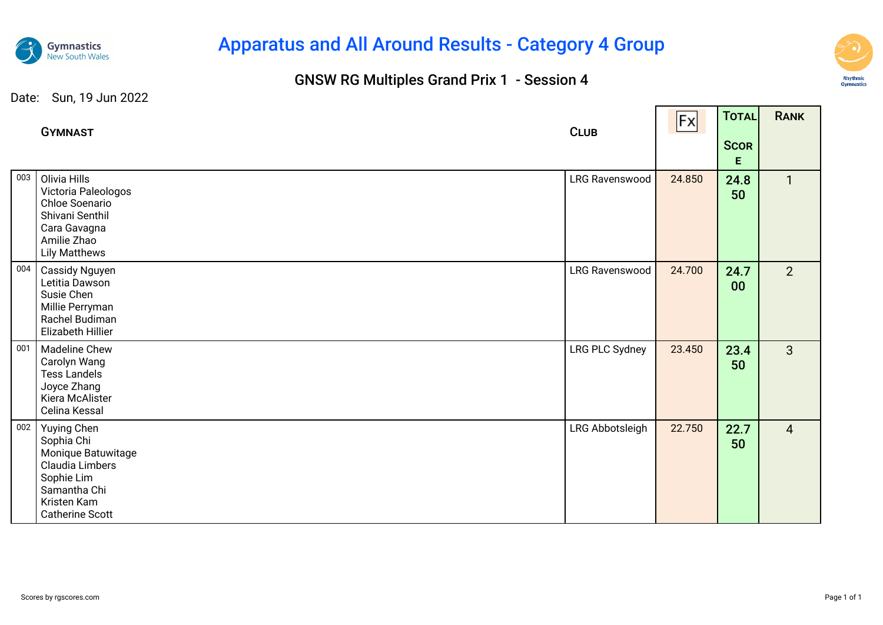

# Apparatus and All Around Results - Category 4 Group

### GNSW RG Multiples Grand Prix 1 - Session 4



─

#### Date: Sun, 19 Jun 2022

|     | <b>GYMNAST</b>                                                                                                                            | <b>CLUB</b>           | Fx     | TOTAL<br><b>SCOR</b><br>E. | <b>RANK</b>    |
|-----|-------------------------------------------------------------------------------------------------------------------------------------------|-----------------------|--------|----------------------------|----------------|
| 003 | Olivia Hills<br>Victoria Paleologos<br>Chloe Soenario<br>Shivani Senthil<br>Cara Gavagna<br>Amilie Zhao<br><b>Lily Matthews</b>           | <b>LRG Ravenswood</b> | 24.850 | 24.8<br>50                 | $\mathbf{1}$   |
| 004 | Cassidy Nguyen<br>Letitia Dawson<br>Susie Chen<br>Millie Perryman<br>Rachel Budiman<br>Elizabeth Hillier                                  | <b>LRG Ravenswood</b> | 24.700 | 24.7<br>00                 | 2              |
| 001 | <b>Madeline Chew</b><br>Carolyn Wang<br><b>Tess Landels</b><br>Joyce Zhang<br>Kiera McAlister<br>Celina Kessal                            | LRG PLC Sydney        | 23.450 | 23.4<br>50                 | $\overline{3}$ |
| 002 | Yuying Chen<br>Sophia Chi<br>Monique Batuwitage<br>Claudia Limbers<br>Sophie Lim<br>Samantha Chi<br>Kristen Kam<br><b>Catherine Scott</b> | LRG Abbotsleigh       | 22.750 | 22.7<br>50                 | $\overline{4}$ |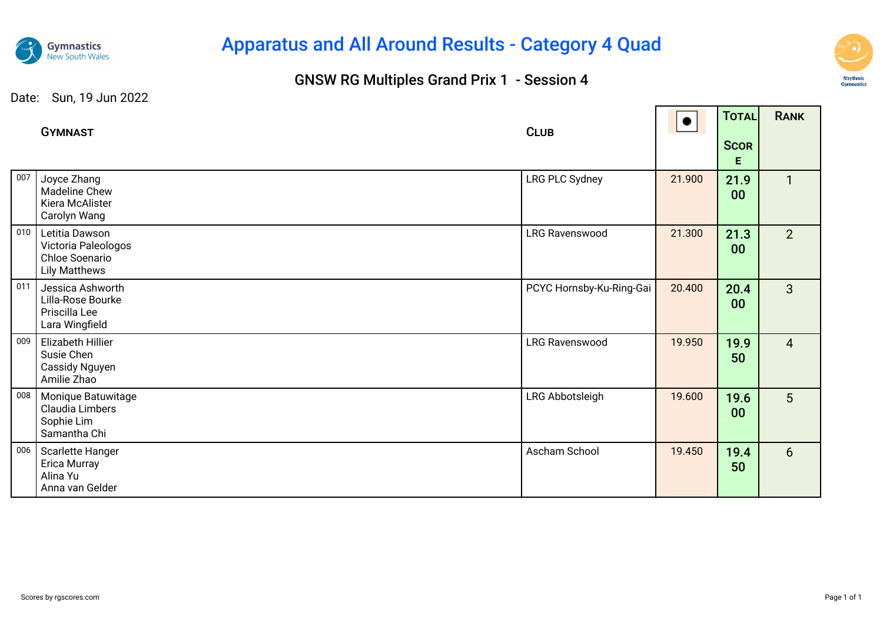

## Apparatus and All Around Results - Category 4 Quad

### GNSW RG Multiples Grand Prix 1 - Session 4



Date: Sun, 19 Jun 2022

|     | <b>GYMNAST</b>                                                                  | <b>CLUB</b>              |        | TOTAL                   | <b>RANK</b>    |
|-----|---------------------------------------------------------------------------------|--------------------------|--------|-------------------------|----------------|
|     |                                                                                 |                          |        | <b>SCOR</b><br>E        |                |
| 007 | Joyce Zhang<br>Madeline Chew<br>Kiera McAlister<br>Carolyn Wang                 | LRG PLC Sydney           | 21.900 | 21.9<br>00              | $\mathbf{1}$   |
| 010 | Letitia Dawson<br>Victoria Paleologos<br>Chloe Soenario<br><b>Lily Matthews</b> | <b>LRG Ravenswood</b>    | 21.300 | 21.3<br>00 <sub>o</sub> | 2 <sup>1</sup> |
| 011 | Jessica Ashworth<br>Lilla-Rose Bourke<br>Priscilla Lee<br>Lara Wingfield        | PCYC Hornsby-Ku-Ring-Gai | 20.400 | 20.4<br>$00\,$          | $\mathbf{3}$   |
| 009 | Elizabeth Hillier<br>Susie Chen<br>Cassidy Nguyen<br>Amilie Zhao                | <b>LRG Ravenswood</b>    | 19.950 | 19.9<br>50              | $\overline{4}$ |
| 008 | Monique Batuwitage<br>Claudia Limbers<br>Sophie Lim<br>Samantha Chi             | LRG Abbotsleigh          | 19.600 | 19.6<br>00 <sub>o</sub> | 5 <sup>5</sup> |
| 006 | Scarlette Hanger<br>Erica Murray<br>Alina Yu<br>Anna van Gelder                 | Ascham School            | 19.450 | 19.4<br>50              | 6              |